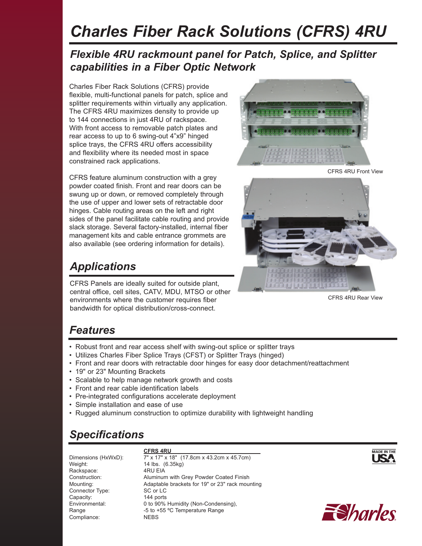# *Charles Fiber Rack Solutions (CFRS) 4RU*

#### *Flexible 4RU rackmount panel for Patch, Splice, and Splitter capabilities in a Fiber Optic Network*

Charles Fiber Rack Solutions (CFRS) provide flexible, multi-functional panels for patch, splice and splitter requirements within virtually any application. The CFRS 4RU maximizes density to provide up to 144 connections in just 4RU of rackspace. With front access to removable patch plates and rear access to up to 6 swing-out 4"x9" hinged splice trays, the CFRS 4RU offers accessibility and flexibility where its needed most in space constrained rack applications.

CFRS feature aluminum construction with a grey powder coated finish. Front and rear doors can be swung up or down, or removed completely through the use of upper and lower sets of retractable door hinges. Cable routing areas on the left and right sides of the panel facilitate cable routing and provide slack storage. Several factory-installed, internal fiber management kits and cable entrance grommets are also available (see ordering information for details).

### *Applications*

CFRS Panels are ideally suited for outside plant, central office, cell sites, CATV, MDU, MTSO or other environments where the customer requires fiber bandwidth for optical distribution/cross-connect.



CFRS 4RU Front View



CFRS 4RU Rear View

#### *Features*

- Robust front and rear access shelf with swing-out splice or splitter trays
- Utilizes Charles Fiber Splice Trays (CFST) or Splitter Trays (hinged)
- Front and rear doors with retractable door hinges for easy door detachment/reattachment
- 19" or 23" Mounting Brackets
- Scalable to help manage network growth and costs
- Front and rear cable identification labels
- Pre-integrated configurations accelerate deployment
- Simple installation and ease of use
- Rugged aluminum construction to optimize durability with lightweight handling

## *Specifications*

Weight: 14 lbs. (6.35kg) Rackspace: 4RU EIA Connector Type: SC or LC Capacity: 144 ports Compliance: NEBS

 **CFRS 4RU**  Dimensions (HxWxD): 7" x 17" x 18" (17.8cm x 43.2cm x 45.7cm) Construction: Aluminum with Grey Powder Coated Finish Mounting: Adaptable brackets for 19" or 23" rack mounting Environmental: 0 to 90% Humidity (Non-Condensing), Range **-5** to +55 °C Temperature Range